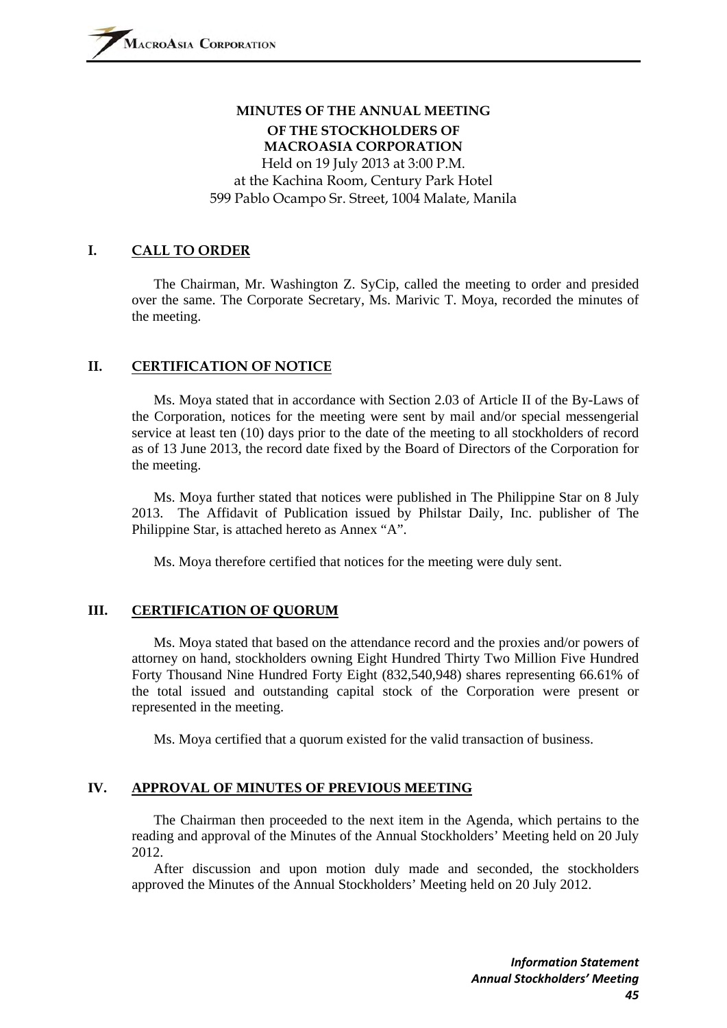# **MINUTES OF THE ANNUAL MEETING OF THE STOCKHOLDERS OF MACROASIA CORPORATION**  Held on 19 July 2013 at 3:00 P.M.

at the Kachina Room, Century Park Hotel 599 Pablo Ocampo Sr. Street, 1004 Malate, Manila

#### **I. CALL TO ORDER**

 The Chairman, Mr. Washington Z. SyCip, called the meeting to order and presided over the same. The Corporate Secretary, Ms. Marivic T. Moya, recorded the minutes of the meeting.

#### **II. CERTIFICATION OF NOTICE**

 Ms. Moya stated that in accordance with Section 2.03 of Article II of the By-Laws of the Corporation, notices for the meeting were sent by mail and/or special messengerial service at least ten (10) days prior to the date of the meeting to all stockholders of record as of 13 June 2013, the record date fixed by the Board of Directors of the Corporation for the meeting.

 Ms. Moya further stated that notices were published in The Philippine Star on 8 July 2013. The Affidavit of Publication issued by Philstar Daily, Inc. publisher of The Philippine Star, is attached hereto as Annex "A".

Ms. Moya therefore certified that notices for the meeting were duly sent.

#### **III. CERTIFICATION OF QUORUM**

 Ms. Moya stated that based on the attendance record and the proxies and/or powers of attorney on hand, stockholders owning Eight Hundred Thirty Two Million Five Hundred Forty Thousand Nine Hundred Forty Eight (832,540,948) shares representing 66.61% of the total issued and outstanding capital stock of the Corporation were present or represented in the meeting.

Ms. Moya certified that a quorum existed for the valid transaction of business.

# **IV. APPROVAL OF MINUTES OF PREVIOUS MEETING**

 The Chairman then proceeded to the next item in the Agenda, which pertains to the reading and approval of the Minutes of the Annual Stockholders' Meeting held on 20 July 2012.

 After discussion and upon motion duly made and seconded, the stockholders approved the Minutes of the Annual Stockholders' Meeting held on 20 July 2012.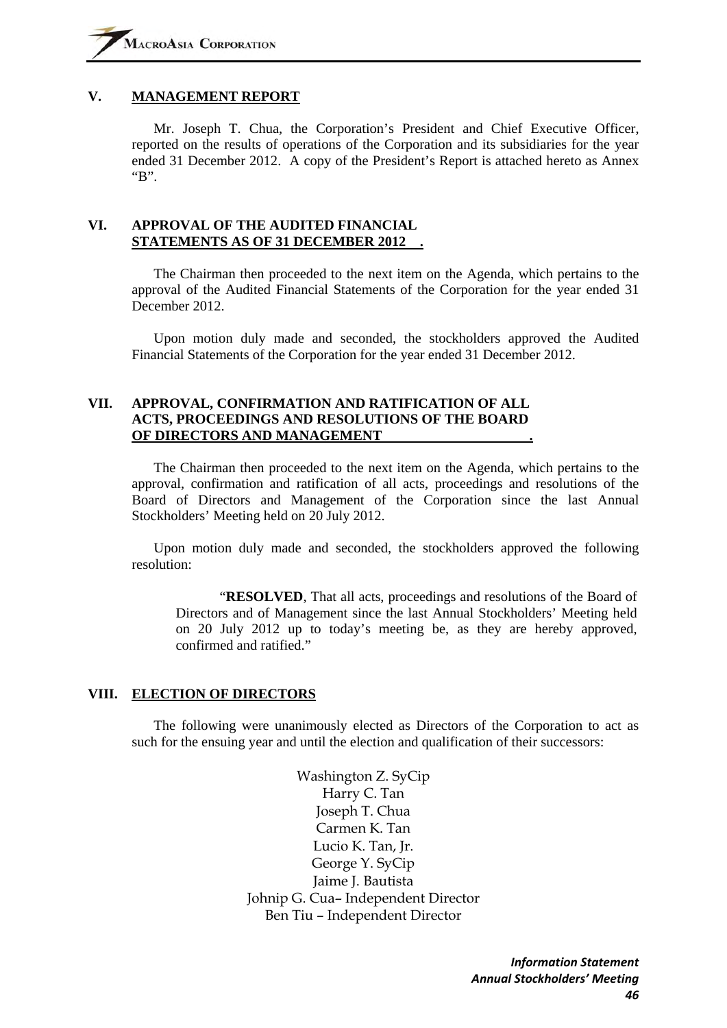#### **V. MANAGEMENT REPORT**

 Mr. Joseph T. Chua, the Corporation's President and Chief Executive Officer, reported on the results of operations of the Corporation and its subsidiaries for the year ended 31 December 2012. A copy of the President's Report is attached hereto as Annex "B".

#### **VI. APPROVAL OF THE AUDITED FINANCIAL STATEMENTS AS OF 31 DECEMBER 2012 .**

 The Chairman then proceeded to the next item on the Agenda, which pertains to the approval of the Audited Financial Statements of the Corporation for the year ended 31 December 2012.

 Upon motion duly made and seconded, the stockholders approved the Audited Financial Statements of the Corporation for the year ended 31 December 2012.

#### **VII. APPROVAL, CONFIRMATION AND RATIFICATION OF ALL ACTS, PROCEEDINGS AND RESOLUTIONS OF THE BOARD OF DIRECTORS AND MANAGEMENT .**

 The Chairman then proceeded to the next item on the Agenda, which pertains to the approval, confirmation and ratification of all acts, proceedings and resolutions of the Board of Directors and Management of the Corporation since the last Annual Stockholders' Meeting held on 20 July 2012.

 Upon motion duly made and seconded, the stockholders approved the following resolution:

 "**RESOLVED**, That all acts, proceedings and resolutions of the Board of Directors and of Management since the last Annual Stockholders' Meeting held on 20 July 2012 up to today's meeting be, as they are hereby approved, confirmed and ratified."

#### **VIII. ELECTION OF DIRECTORS**

 The following were unanimously elected as Directors of the Corporation to act as such for the ensuing year and until the election and qualification of their successors:

> Washington Z. SyCip Harry C. Tan Joseph T. Chua Carmen K. Tan Lucio K. Tan, Jr. George Y. SyCip Jaime J. Bautista Johnip G. Cua– Independent Director Ben Tiu – Independent Director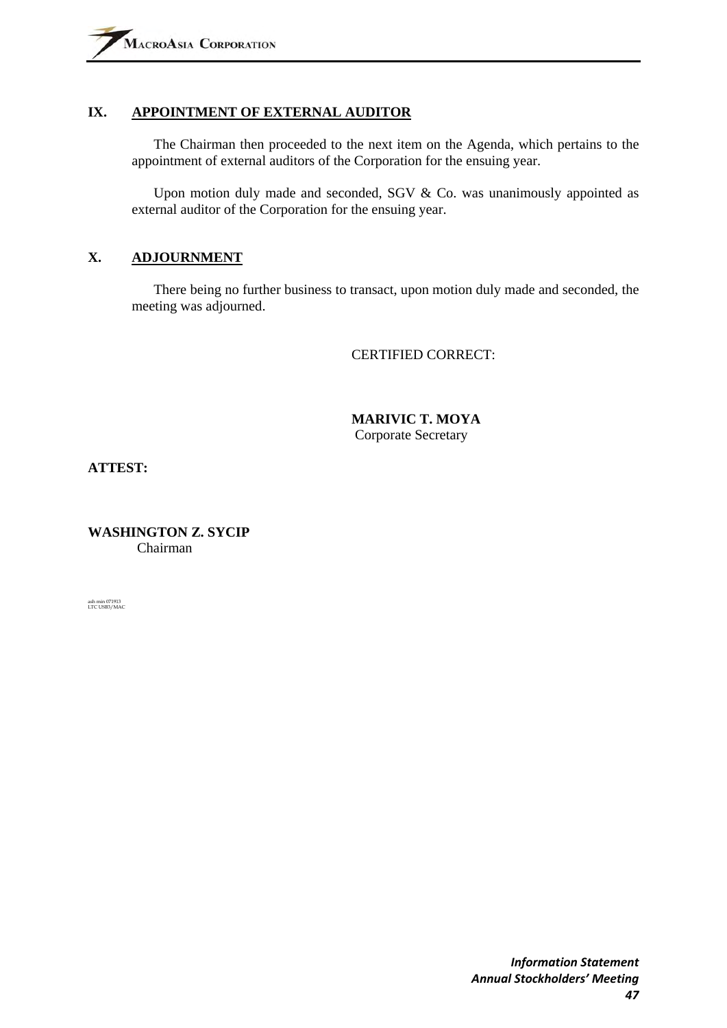# **IX. APPOINTMENT OF EXTERNAL AUDITOR**

 The Chairman then proceeded to the next item on the Agenda, which pertains to the appointment of external auditors of the Corporation for the ensuing year.

 Upon motion duly made and seconded, SGV & Co. was unanimously appointed as external auditor of the Corporation for the ensuing year.

# **X. ADJOURNMENT**

 There being no further business to transact, upon motion duly made and seconded, the meeting was adjourned.

CERTIFIED CORRECT:

 **MARIVIC T. MOYA**  Corporate Secretary

**ATTEST:** 

**WASHINGTON Z. SYCIP**  Chairman

ash min 071913 LTC USB3/MAC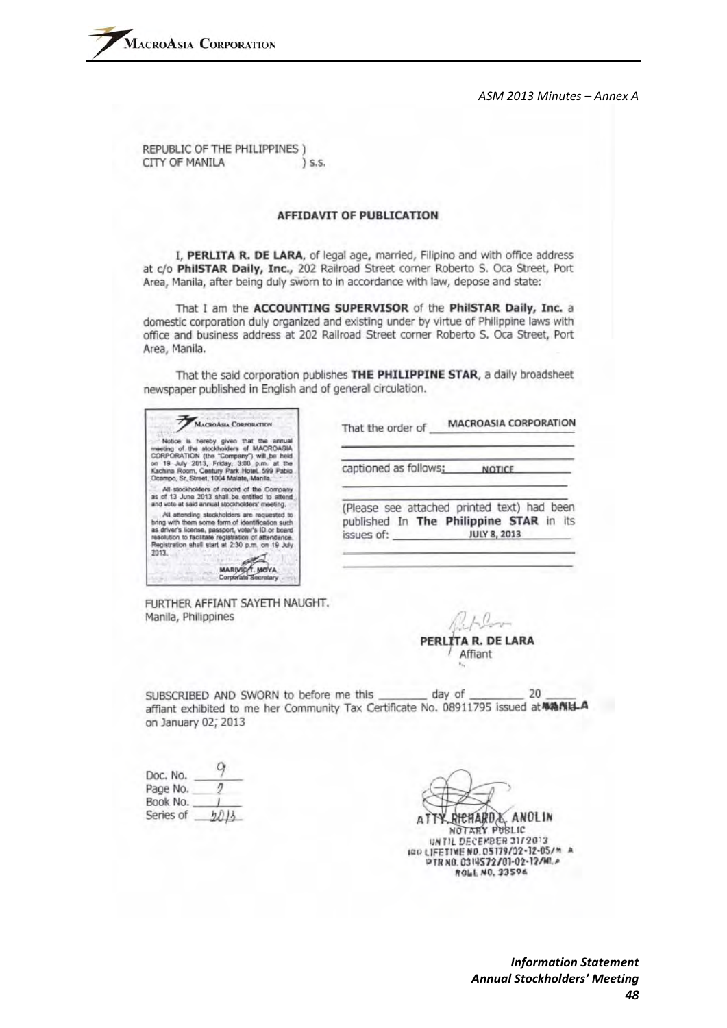REPUBLIC OF THE PHILIPPINES ) CITY OF MANILA \ S.S.

#### **AFFIDAVIT OF PUBLICATION**

I, PERLITA R. DE LARA, of legal age, married, Filipino and with office address at c/o PhilSTAR Daily, Inc., 202 Railroad Street corner Roberto S. Oca Street, Port Area. Manila, after being duly sworn to in accordance with law, depose and state:

That I am the ACCOUNTING SUPERVISOR of the PhilSTAR Daily, Inc. a domestic corporation duly organized and existing under by virtue of Philippine laws with office and business address at 202 Railroad Street corner Roberto S. Oca Street, Port Area, Manila.

That the said corporation publishes THE PHILIPPINE STAR, a daily broadsheet newspaper published in English and of general circulation.

| <b>William Polytics</b><br><b>MACROASIA CORPORATION</b><br>hereby given that the annual<br>Notice<br>wetting of the stockholders of MACROASIA<br>CORPORATION (the "Company") will be held<br>19 July 2013, Friday, 3:00 p.m. at the<br>Kachina Room, Century Park Hotel, 599 Pablo<br>Ocampo, Sr. Street, 1004 Malate, Manila.<br>All stockholders of record of the Company<br>as of 13 June 2013 shall be entitled to attend<br>and vote at said annual stockholders' meeting.<br>All attending stockholders are requested to<br>bring with them some form of identification such<br>as driver's license, passport, voter's ID or board<br>resolution to facilitate registration of attendance.<br>Registration shall start at 2:30 p.m. on 19 July<br>2013<br><b>MARIVIO</b><br>Comerate Secretary | <b>MACROASIA CORPORATION</b><br>That the order of                                                                           |
|------------------------------------------------------------------------------------------------------------------------------------------------------------------------------------------------------------------------------------------------------------------------------------------------------------------------------------------------------------------------------------------------------------------------------------------------------------------------------------------------------------------------------------------------------------------------------------------------------------------------------------------------------------------------------------------------------------------------------------------------------------------------------------------------------|-----------------------------------------------------------------------------------------------------------------------------|
|                                                                                                                                                                                                                                                                                                                                                                                                                                                                                                                                                                                                                                                                                                                                                                                                      | captioned as follows:<br>NOTICE                                                                                             |
|                                                                                                                                                                                                                                                                                                                                                                                                                                                                                                                                                                                                                                                                                                                                                                                                      | (Please see attached printed text) had been<br>published In The Philippine STAR in its<br>issues of:<br><b>JULY 8, 2013</b> |

FURTHER AFFIANT SAYETH NAUGHT. Manila, Philippines

PERLITA R. DE LARA Affiant

SUBSCRIBED AND SWORN to before me this day of 20 affiant exhibited to me her Community Tax Certificate No. 08911795 issued at MANI-A on January 02; 2013

| Doc. No.  |  |
|-----------|--|
| Page No.  |  |
| Book No.  |  |
| Series of |  |

RICHARD X. ANOLIN NOTARY PUBLIC UNTIL DECEMBER 31/2013 IRP LIFETIME NO. 05179/02-12-05/\* A PTR NO. 0314572/01-02-12/MLA ROLL NO. 33596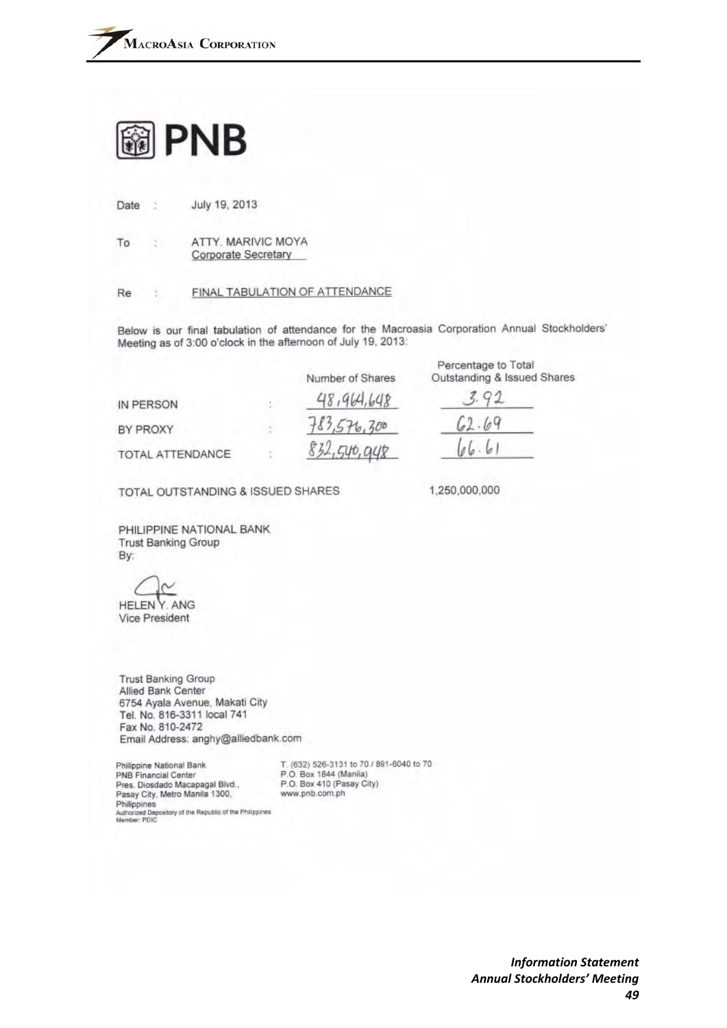

July 19, 2013 Date  $\rightarrow$ 

ATTY. MARIVIC MOYA To ă Corporate Secretary

#### FINAL TABULATION OF ATTENDANCE Re ÷.

Below is our final tabulation of attendance for the Macroasia Corporation Annual Stockholders' Meeting as of 3:00 o'clock in the afternoon of July 19, 2013:

|                  | Number of Shares | Percentage to Total<br>Outstanding & Issued Shares |
|------------------|------------------|----------------------------------------------------|
| IN PERSON        | 48,964,648       |                                                    |
| BY PROXY         | 783,576,300      | 62.69                                              |
| TOTAL ATTENDANCE | 832,546,948      | 106.6'                                             |

TOTAL OUTSTANDING & ISSUED SHARES

1,250,000,000

PHILIPPINE NATIONAL BANK **Trust Banking Group** By:

**HELEN Y. ANG** 

Vice President

**Trust Banking Group** Allied Bank Center 6754 Ayala Avenue, Makati City Tel. No. 816-3311 local 741 Fax No. 810-2472 Email Address: anghy@alliedbank.com

Philippine National Bank PNB Financial Center Pres. Diosdado Macapagal Blvd., Pasay City, Metro Manila 1300, Philippines Authorized Depository of the Republic of the Philippines<br>Member: PDIC T. (632) 526-3131 to 70 / 891-6040 to 70 P.O. Box 1844 (Manila) P.O. Box 410 (Pasay City) www.pnb.com.ph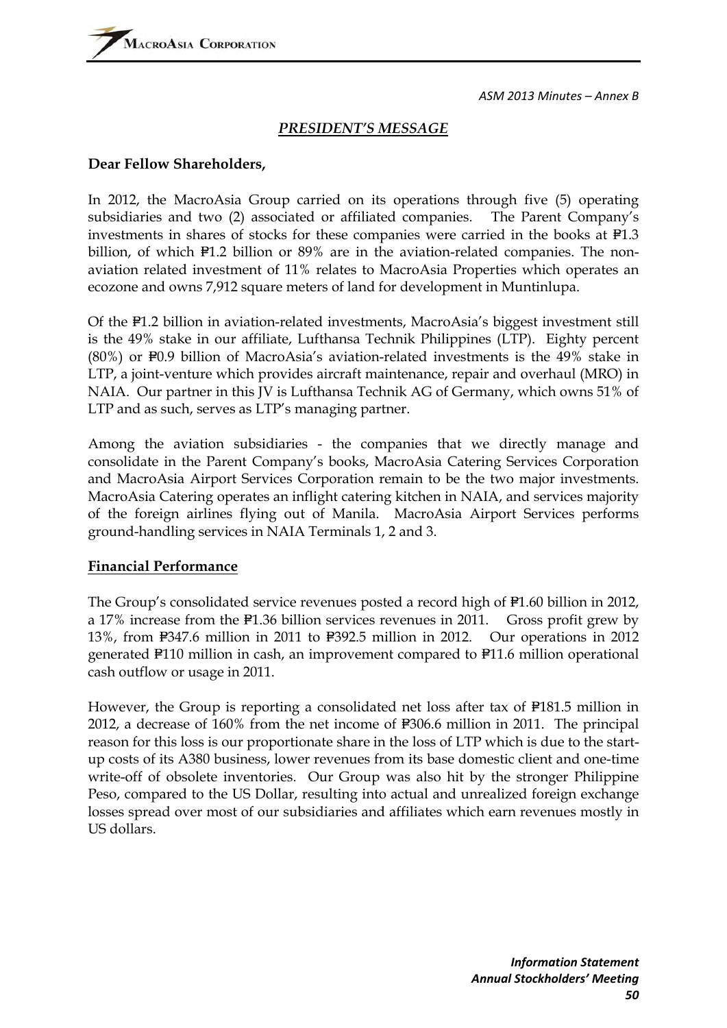# *PRESIDENT'S MESSAGE*

# **Dear Fellow Shareholders,**

In 2012, the MacroAsia Group carried on its operations through five (5) operating subsidiaries and two (2) associated or affiliated companies. The Parent Company's investments in shares of stocks for these companies were carried in the books at  $F1.3$ billion, of which  $P1.2$  billion or 89% are in the aviation-related companies. The nonaviation related investment of 11% relates to MacroAsia Properties which operates an ecozone and owns 7,912 square meters of land for development in Muntinlupa.

Of the P1.2 billion in aviation-related investments, MacroAsia's biggest investment still is the 49% stake in our affiliate, Lufthansa Technik Philippines (LTP). Eighty percent  $(80%)$  or  $F0.9$  billion of MacroAsia's aviation-related investments is the 49% stake in LTP, a joint-venture which provides aircraft maintenance, repair and overhaul (MRO) in NAIA. Our partner in this JV is Lufthansa Technik AG of Germany, which owns 51% of LTP and as such, serves as LTP's managing partner.

Among the aviation subsidiaries - the companies that we directly manage and consolidate in the Parent Company's books, MacroAsia Catering Services Corporation and MacroAsia Airport Services Corporation remain to be the two major investments. MacroAsia Catering operates an inflight catering kitchen in NAIA, and services majority of the foreign airlines flying out of Manila. MacroAsia Airport Services performs ground-handling services in NAIA Terminals 1, 2 and 3.

# **Financial Performance**

The Group's consolidated service revenues posted a record high of  $P1.60$  billion in 2012, a 17% increase from the  $F1.36$  billion services revenues in 2011. Gross profit grew by 13%, from  $F347.6$  million in 2011 to  $F392.5$  million in 2012. Our operations in 2012 generated  $F110$  million in cash, an improvement compared to  $F11.6$  million operational cash outflow or usage in 2011.

However, the Group is reporting a consolidated net loss after tax of  $F181.5$  million in 2012, a decrease of  $160\%$  from the net income of  $F306.6$  million in 2011. The principal reason for this loss is our proportionate share in the loss of LTP which is due to the startup costs of its A380 business, lower revenues from its base domestic client and one-time write-off of obsolete inventories. Our Group was also hit by the stronger Philippine Peso, compared to the US Dollar, resulting into actual and unrealized foreign exchange losses spread over most of our subsidiaries and affiliates which earn revenues mostly in US dollars.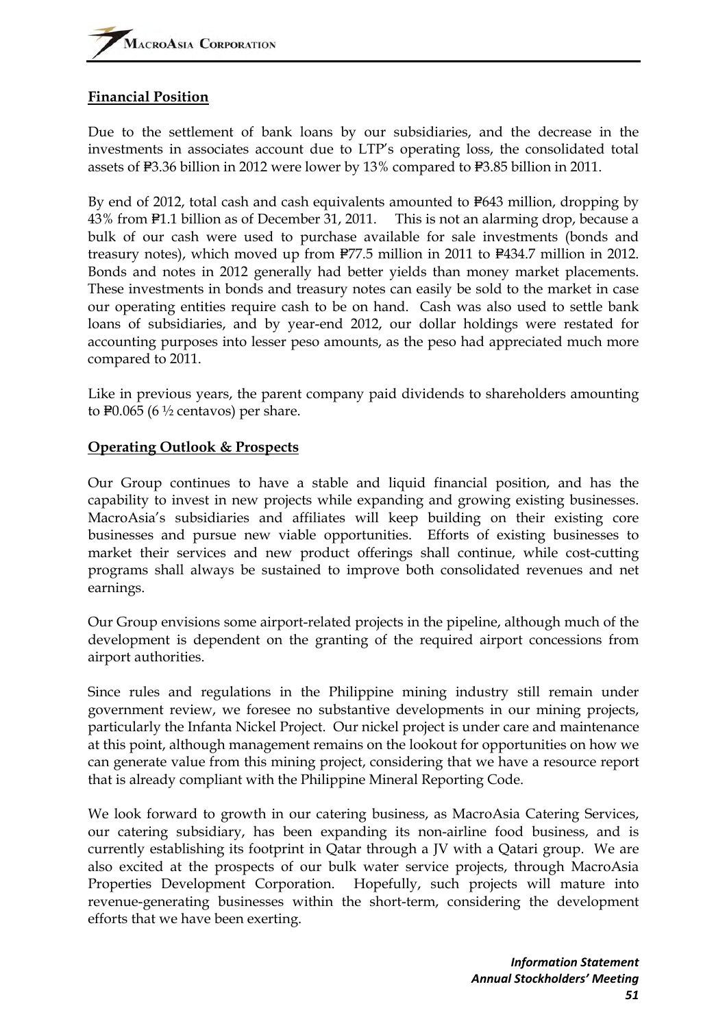# **Financial Position**

Due to the settlement of bank loans by our subsidiaries, and the decrease in the investments in associates account due to LTP's operating loss, the consolidated total assets of F3.36 billion in 2012 were lower by 13% compared to F3.85 billion in 2011.

By end of 2012, total cash and cash equivalents amounted to P643 million, dropping by 43% from P1.1 billion as of December 31, 2011. This is not an alarming drop, because a bulk of our cash were used to purchase available for sale investments (bonds and treasury notes), which moved up from  $P77.5$  million in 2011 to  $P434.7$  million in 2012. Bonds and notes in 2012 generally had better yields than money market placements. These investments in bonds and treasury notes can easily be sold to the market in case our operating entities require cash to be on hand. Cash was also used to settle bank loans of subsidiaries, and by year-end 2012, our dollar holdings were restated for accounting purposes into lesser peso amounts, as the peso had appreciated much more compared to 2011.

Like in previous years, the parent company paid dividends to shareholders amounting to P0.065 (6  $\frac{1}{2}$  centavos) per share.

# **Operating Outlook & Prospects**

Our Group continues to have a stable and liquid financial position, and has the capability to invest in new projects while expanding and growing existing businesses. MacroAsia's subsidiaries and affiliates will keep building on their existing core businesses and pursue new viable opportunities. Efforts of existing businesses to market their services and new product offerings shall continue, while cost-cutting programs shall always be sustained to improve both consolidated revenues and net earnings.

Our Group envisions some airport-related projects in the pipeline, although much of the development is dependent on the granting of the required airport concessions from airport authorities.

Since rules and regulations in the Philippine mining industry still remain under government review, we foresee no substantive developments in our mining projects, particularly the Infanta Nickel Project. Our nickel project is under care and maintenance at this point, although management remains on the lookout for opportunities on how we can generate value from this mining project, considering that we have a resource report that is already compliant with the Philippine Mineral Reporting Code.

We look forward to growth in our catering business, as MacroAsia Catering Services, our catering subsidiary, has been expanding its non-airline food business, and is currently establishing its footprint in Qatar through a JV with a Qatari group. We are also excited at the prospects of our bulk water service projects, through MacroAsia Properties Development Corporation. Hopefully, such projects will mature into revenue-generating businesses within the short-term, considering the development efforts that we have been exerting.